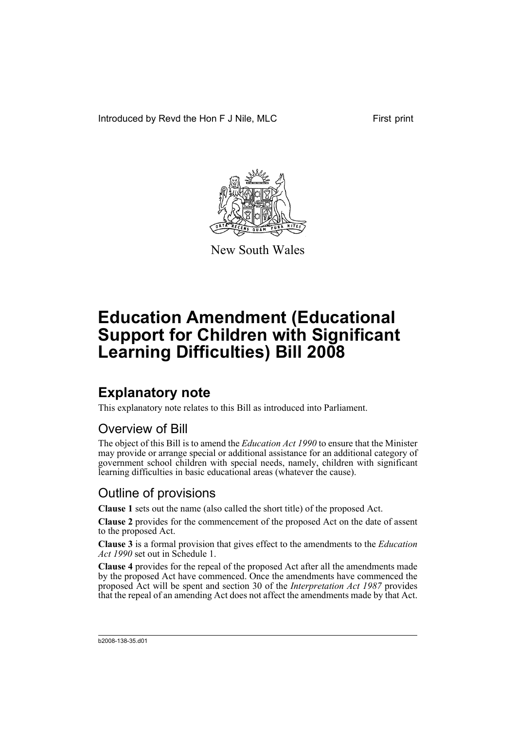Introduced by Revd the Hon F J Nile, MLC First print



New South Wales

# **Education Amendment (Educational Support for Children with Significant Learning Difficulties) Bill 2008**

## **Explanatory note**

This explanatory note relates to this Bill as introduced into Parliament.

#### Overview of Bill

The object of this Bill is to amend the *Education Act 1990* to ensure that the Minister may provide or arrange special or additional assistance for an additional category of government school children with special needs, namely, children with significant learning difficulties in basic educational areas (whatever the cause).

#### Outline of provisions

**Clause 1** sets out the name (also called the short title) of the proposed Act.

**Clause 2** provides for the commencement of the proposed Act on the date of assent to the proposed Act.

**Clause 3** is a formal provision that gives effect to the amendments to the *Education Act 1990* set out in Schedule 1.

**Clause 4** provides for the repeal of the proposed Act after all the amendments made by the proposed Act have commenced. Once the amendments have commenced the proposed Act will be spent and section 30 of the *Interpretation Act 1987* provides that the repeal of an amending Act does not affect the amendments made by that Act.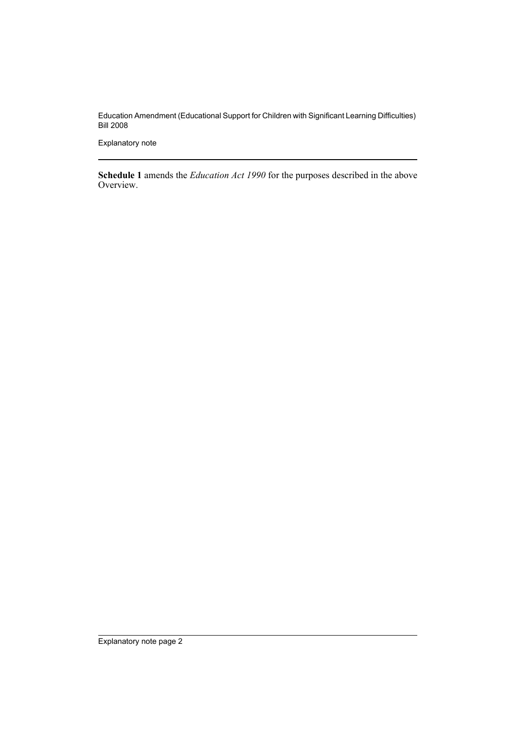Education Amendment (Educational Support for Children with Significant Learning Difficulties) Bill 2008

Explanatory note

**Schedule 1** amends the *Education Act 1990* for the purposes described in the above Overview.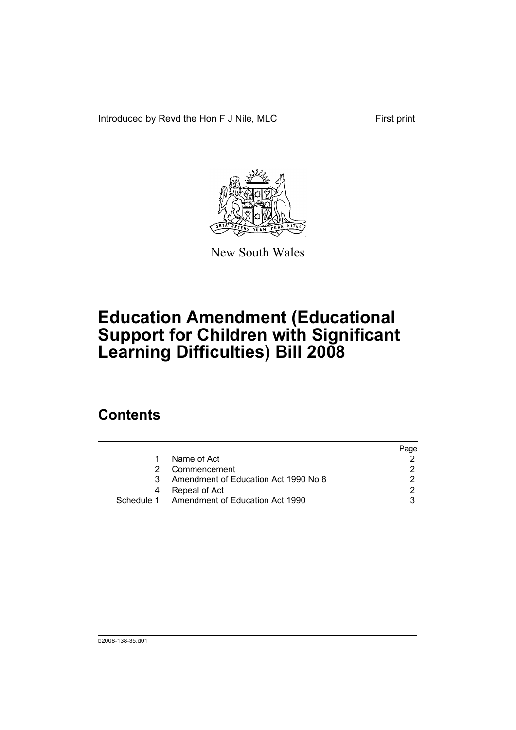Introduced by Revd the Hon F J Nile, MLC First print



New South Wales

# **Education Amendment (Educational Support for Children with Significant Learning Difficulties) Bill 2008**

### **Contents**

|    |                                            | Page |
|----|--------------------------------------------|------|
| 1. | Name of Act                                |      |
|    | Commencement                               |      |
|    | Amendment of Education Act 1990 No 8       |      |
|    | Repeal of Act                              |      |
|    | Schedule 1 Amendment of Education Act 1990 |      |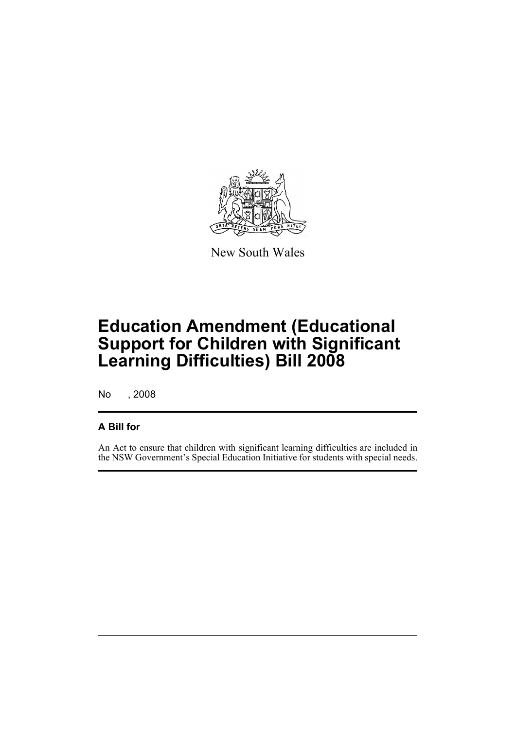

New South Wales

# **Education Amendment (Educational Support for Children with Significant Learning Difficulties) Bill 2008**

No , 2008

#### **A Bill for**

An Act to ensure that children with significant learning difficulties are included in the NSW Government's Special Education Initiative for students with special needs.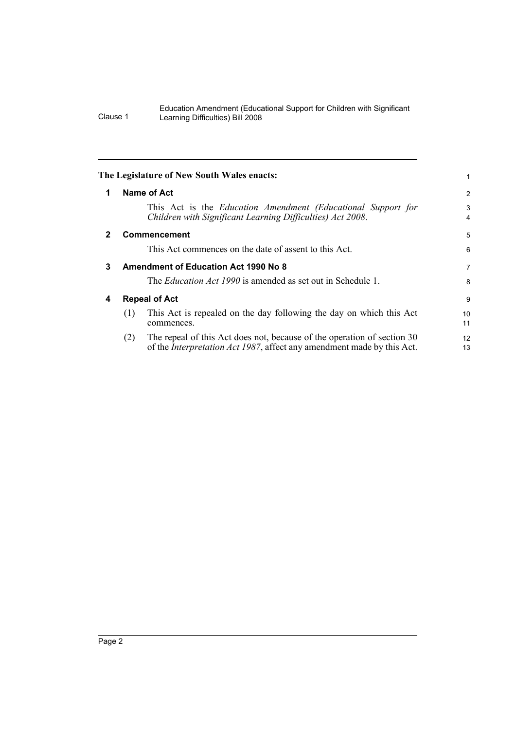#### Education Amendment (Educational Support for Children with Significant Clause 1 Learning Difficulties) Bill 2008

<span id="page-5-3"></span><span id="page-5-2"></span><span id="page-5-1"></span><span id="page-5-0"></span>

|              | The Legislature of New South Wales enacts:                                                                                                                       |          |
|--------------|------------------------------------------------------------------------------------------------------------------------------------------------------------------|----------|
| 1            | Name of Act                                                                                                                                                      | 2        |
|              | This Act is the Education Amendment (Educational Support for<br>Children with Significant Learning Difficulties) Act 2008.                                       | 3<br>4   |
| $\mathbf{2}$ | <b>Commencement</b>                                                                                                                                              | 5        |
|              | This Act commences on the date of assent to this Act.                                                                                                            | 6        |
| 3            | <b>Amendment of Education Act 1990 No 8</b>                                                                                                                      | 7        |
|              | The <i>Education Act 1990</i> is amended as set out in Schedule 1.                                                                                               | 8        |
| 4            | <b>Repeal of Act</b>                                                                                                                                             | 9        |
|              | This Act is repealed on the day following the day on which this Act<br>(1)<br>commences.                                                                         | 10<br>11 |
|              | The repeal of this Act does not, because of the operation of section 30<br>(2)<br>of the <i>Interpretation Act 1987</i> , affect any amendment made by this Act. | 12<br>13 |
|              |                                                                                                                                                                  |          |